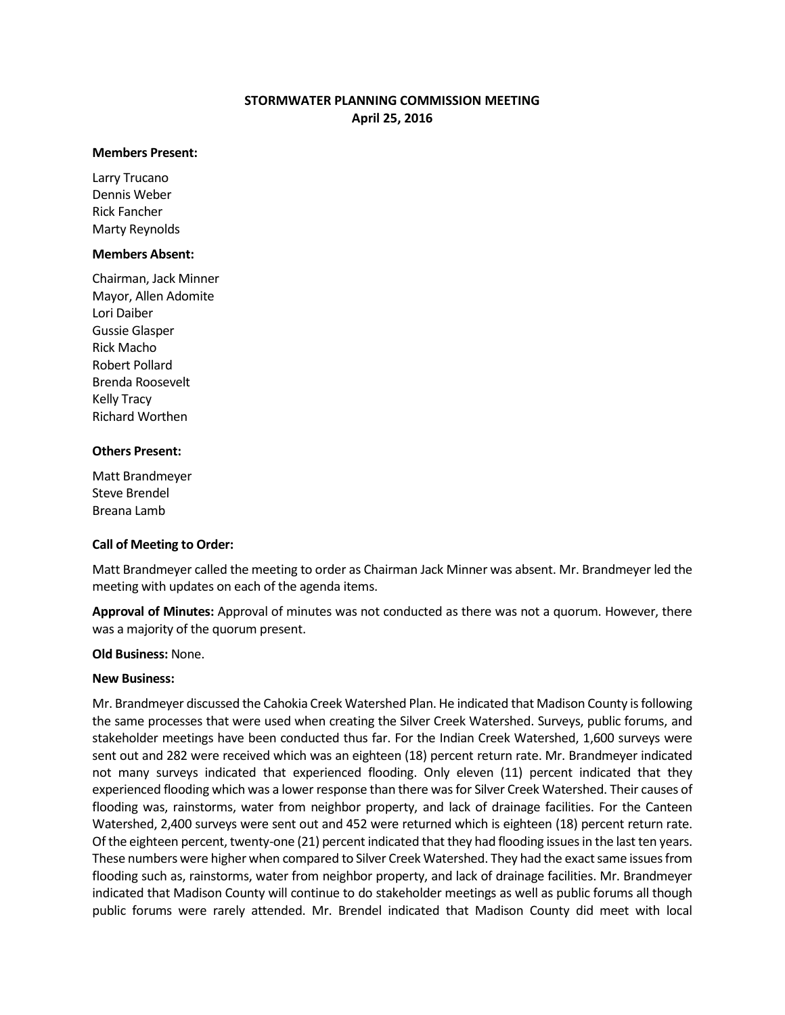# **STORMWATER PLANNING COMMISSION MEETING April 25, 2016**

#### **Members Present:**

Larry Trucano Dennis Weber Rick Fancher Marty Reynolds

### **Members Absent:**

Chairman, Jack Minner Mayor, Allen Adomite Lori Daiber Gussie Glasper Rick Macho Robert Pollard Brenda Roosevelt Kelly Tracy Richard Worthen

### **Others Present:**

Matt Brandmeyer Steve Brendel Breana Lamb

### **Call of Meeting to Order:**

Matt Brandmeyer called the meeting to order as Chairman Jack Minner was absent. Mr. Brandmeyer led the meeting with updates on each of the agenda items.

**Approval of Minutes:** Approval of minutes was not conducted as there was not a quorum. However, there was a majority of the quorum present.

### **Old Business:** None.

### **New Business:**

Mr. Brandmeyer discussed the Cahokia Creek Watershed Plan. He indicated that Madison County is following the same processes that were used when creating the Silver Creek Watershed. Surveys, public forums, and stakeholder meetings have been conducted thus far. For the Indian Creek Watershed, 1,600 surveys were sent out and 282 were received which was an eighteen (18) percent return rate. Mr. Brandmeyer indicated not many surveys indicated that experienced flooding. Only eleven (11) percent indicated that they experienced flooding which was a lower response than there was for Silver Creek Watershed. Their causes of flooding was, rainstorms, water from neighbor property, and lack of drainage facilities. For the Canteen Watershed, 2,400 surveys were sent out and 452 were returned which is eighteen (18) percent return rate. Of the eighteen percent, twenty-one (21) percent indicated that they had flooding issues in the last ten years. These numbers were higher when compared to Silver Creek Watershed. They had the exact same issues from flooding such as, rainstorms, water from neighbor property, and lack of drainage facilities. Mr. Brandmeyer indicated that Madison County will continue to do stakeholder meetings as well as public forums all though public forums were rarely attended. Mr. Brendel indicated that Madison County did meet with local